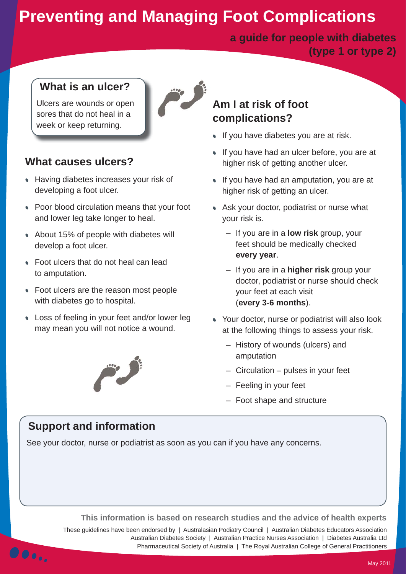# **Preventing and Managing Foot Complications**

**a guide for people with diabetes (type 1 or type 2)**

#### **What is an ulcer?**

Ulcers are wounds or open sores that do not heal in a week or keep returning.

### **What causes ulcers?**

- Having diabetes increases your risk of developing a foot ulcer.
- Poor blood circulation means that your foot and lower leg take longer to heal.
- About 15% of people with diabetes will develop a foot ulcer.
- Foot ulcers that do not heal can lead to amputation.
- Foot ulcers are the reason most people with diabetes go to hospital.
- Loss of feeling in your feet and/or lower leg may mean you will not notice a wound.



### **Am I at risk of foot complications?**

- If you have diabetes you are at risk.
- If you have had an ulcer before, you are at higher risk of getting another ulcer.
- If you have had an amputation, you are at higher risk of getting an ulcer.
- Ask your doctor, podiatrist or nurse what your risk is.
	- If you are in a **low risk** group, your feet should be medically checked **every year**.
	- If you are in a **higher risk** group your doctor, podiatrist or nurse should check your feet at each visit (**every 3-6 months**).
- Your doctor, nurse or podiatrist will also look at the following things to assess your risk.
	- History of wounds (ulcers) and amputation
	- Circulation pulses in your feet
	- Feeling in your feet
	- Foot shape and structure

#### **Support and information**

See your doctor, nurse or podiatrist as soon as you can if you have any concerns.

**This information is based on research studies and the advice of health experts**

These guidelines have been endorsed by | Australasian Podiatry Council | Australian Diabetes Educators Association Australian Diabetes Society | Australian Practice Nurses Association | Diabetes Australia Ltd Pharmaceutical Society of Australia | The Royal Australian College of General Practitioners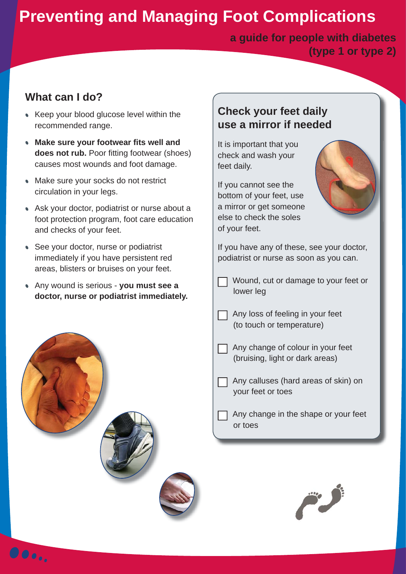# **Preventing and Managing Foot Complications**

**a guide for people with diabetes (type 1 or type 2)**

### **What can I do?**

- Keep your blood glucose level within the recommended range.
- **Make sure your footwear fits well and does not rub.** Poor fitting footwear (shoes) causes most wounds and foot damage.
- Make sure your socks do not restrict circulation in your legs.
- Ask your doctor, podiatrist or nurse about a foot protection program, foot care education and checks of your feet.
- See your doctor, nurse or podiatrist immediately if you have persistent red areas, blisters or bruises on your feet.
- Any wound is serious **you must see a doctor, nurse or podiatrist immediately.**



 $\bullet \bullet \bullet$ .

### **Check your feet daily use a mirror if needed**

It is important that you check and wash your feet daily.

If you cannot see the bottom of your feet, use a mirror or get someone else to check the soles of your feet.



If you have any of these, see your doctor, podiatrist or nurse as soon as you can.

- Wound, cut or damage to your feet or lower leg
- $\Box$  Any loss of feeling in your feet (to touch or temperature)

 Any change of colour in your feet (bruising, light or dark areas)

- Any calluses (hard areas of skin) on your feet or toes
- Any change in the shape or your feet or toes